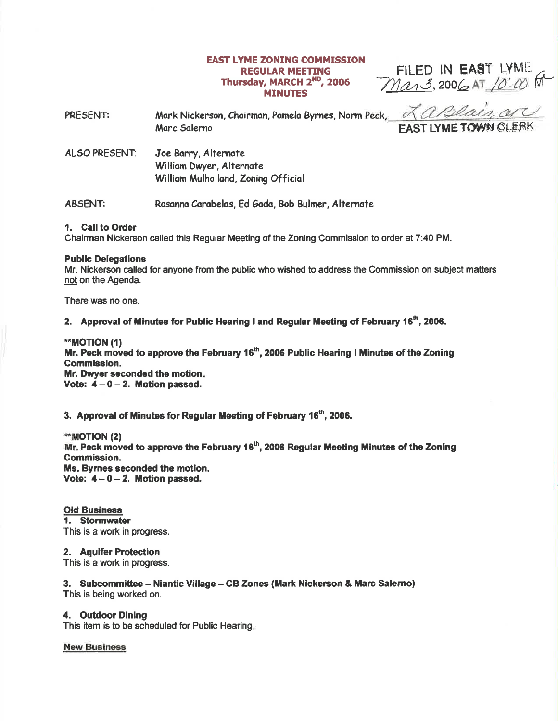## **EAST LYME ZONING COMMISSION REGULAR MEETING** Thursday, MARCH 2<sup>ND</sup>, 2006 **MINUTES**

FILED IN EAST LYME<br> $M\alpha_1\beta$ , 2006 AT  $/0$ :  $\omega$ 

| PRESENT:             | Mark Nickerson, Chairman, Pamela Byrnes, Norm Peck,<br>Marc Salerno                     | LaBlais, are<br><b>EAST LYME TOWN CLERK</b> |
|----------------------|-----------------------------------------------------------------------------------------|---------------------------------------------|
| <b>ALSO PRESENT:</b> | Joe Barry, Alternate<br>William Dwyer, Alternate<br>William Mulholland, Zoning Official |                                             |

Rosanna Carabelas, Ed Gada, Bob Bulmer, Alternate **ABSENT:** 

#### 1. Call to Order

Chairman Nickerson called this Regular Meeting of the Zoning Commission to order at 7:40 PM.

#### **Public Delegations**

Mr. Nickerson called for anyone from the public who wished to address the Commission on subject matters not on the Agenda.

There was no one.

# 2. Approval of Minutes for Public Hearing I and Regular Meeting of February 16<sup>th</sup>, 2006.

\*\*MOTION (1) Mr. Peck moved to approve the February 16<sup>th</sup>, 2006 Public Hearing I Minutes of the Zoning **Commission.** Mr. Dwyer seconded the motion. Vote:  $4-0-2$ . Motion passed.

3. Approval of Minutes for Regular Meeting of February 16<sup>th</sup>, 2006.

\*\*MOTION (2) Mr. Peck moved to approve the February 16<sup>th</sup>, 2006 Regular Meeting Minutes of the Zoning **Commission.** Ms. Byrnes seconded the motion. Vote:  $4-0-2$ . Motion passed.

**Old Business** 1. Stormwater This is a work in progress.

2. Aquifer Protection This is a work in progress.

3. Subcommittee – Niantic Village – CB Zones (Mark Nickerson & Marc Salerno) This is being worked on.

### 4. Outdoor Dining

This item is to be scheduled for Public Hearing.

**New Business**